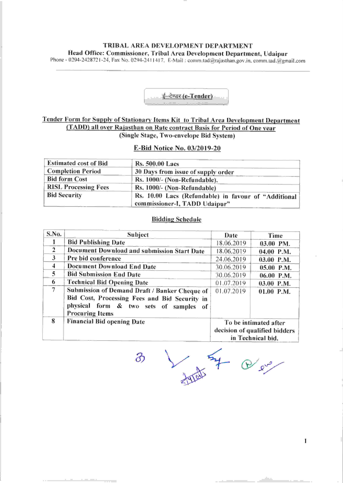# TRIBAL AREA DEVELOPMENT DEPARTMENT Head Office: Commissioner, Tribal Area Development Department, Udaipur

Phone - 0294-2428721-24, Fax No. 0294-2411417, E-Mail: comm.tad@rajasthan.gov.in, comm.tad.@gmail.com



## Tender Form for Supplv of Stationarv Items Kit to Tribal Area Development Department (TADD) all over Raiasthan on Rate contract Basis for Period of One vear (Single Stage, Two-envelope Bid System)

#### E-Bid Notice No. 03/2019-20

| <b>Estimated cost of Bid</b> | <b>Rs. 500.00 Lacs</b>                                                                |
|------------------------------|---------------------------------------------------------------------------------------|
| <b>Completion Period</b>     | 30 Days from issue of supply order                                                    |
| <b>Bid form Cost</b>         | Rs. 1000/- (Non-Refundable).                                                          |
| <b>RISL Processing Fees</b>  | Rs. 1000/- (Non-Refundable)                                                           |
| <b>Bid Security</b>          | Rs. 10.00 Lacs (Refundable) in favour of "Additional<br>commissioner-I, TADD Udaipur" |

### Bidding Schedule

| S.No.          | Subject                                       | Date                                                                        | Time         |  |  |
|----------------|-----------------------------------------------|-----------------------------------------------------------------------------|--------------|--|--|
| 1              | <b>Bid Publishing Date</b>                    | 18.06.2019                                                                  | 03.00 PM.    |  |  |
| $\overline{2}$ | Document Download and submission Start Date   | 18.06.2019                                                                  | $04.00$ P.M. |  |  |
| 3              | Pre bid conference                            | 24.06.2019                                                                  | $03.00$ P.M. |  |  |
| 4              | Document Download End Date                    | 30.06.2019                                                                  | 05.00 P.M.   |  |  |
| 5              | <b>Bid Submission End Date</b>                | 30.06.2019                                                                  | 06.00 P.M.   |  |  |
| 6              | <b>Technical Bid Opening Date</b>             | 01.07.2019                                                                  | 03.00 P.M.   |  |  |
| 7              | Submission of Demand Draft / Banker Cheque of | 01.07.2019                                                                  | $01.00$ P.M. |  |  |
|                | Bid Cost, Processing Fees and Bid Security in |                                                                             |              |  |  |
|                | physical form & two sets of samples<br>оf     |                                                                             |              |  |  |
|                | <b>Procuring Items</b>                        |                                                                             |              |  |  |
| 8              | <b>Financial Bid opening Date</b>             | To be intimated after<br>decision of qualified bidders<br>in Technical bid. |              |  |  |
|                |                                               |                                                                             |              |  |  |

in Technical bid.<br>3

 $\mathbf{I}$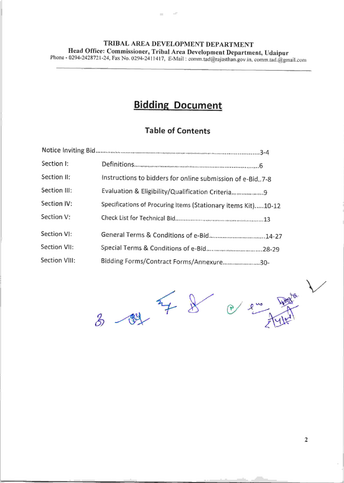### TRIBAL AREA DEVELOPMENT DEPARTMENT Head Office: Commissioner, Tribal Area Development Department, Udaipur Phone - 0294-2428721-24, Fax No. 0294-2411417, E-Mail: comm.tad@rajasthan.gov.in, comm.tad.@gmail.com

 $\sim$ 

# **Bidding Document**

# Table of Contents

| Section I:    |                                                               |  |  |  |  |
|---------------|---------------------------------------------------------------|--|--|--|--|
| Section II:   | Instructions to bidders for online submission of e-Bid. 7-8   |  |  |  |  |
| Section III:  | Evaluation & Eligibility/Qualification Criteria9              |  |  |  |  |
| Section IV:   | Specifications of Procuring Items (Stationary items Kit)10-12 |  |  |  |  |
| Section V:    |                                                               |  |  |  |  |
| Section VI:   | General Terms & Conditions of e-Bid14-27                      |  |  |  |  |
| Section VII:  | Special Terms & Conditions of e-Bid 28-29                     |  |  |  |  |
| Section VIII: | Bidding Forms/Contract Forms/Annexure30-                      |  |  |  |  |



2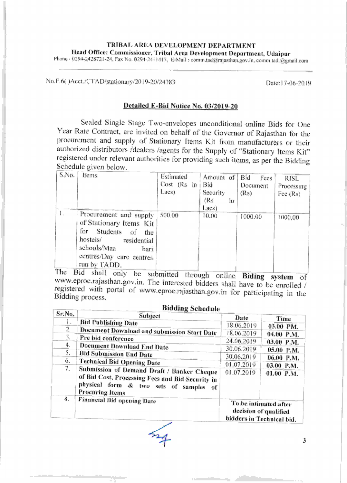# TRIBAL AREA DEVELOPMENT DEPARTMENT Head Office: Commissioner, Tribal Area Development Department, Udaipur

Phone - 0294-2428721-24, Fax No. 0294-2411417, E-Mail : comm.tad@rajasthan.gov.in.comm.tad.@gmail.com

No.F.6()Acct./CTAD/stationary/2019-20/24383

Date: 17-06-2019

# Detailed E-Bid Notice No. 03/2019-20

Sealed Single Stage Two-envelopes unconditional online Bids for One Year Rate Contract, are invited on behalf of the Governor of Rajasthan for the procurement and supply of Stationary Items Kit from manufacturers or their authorized distributors /dealers /agents for the Supply of "Stationary Items Kit" registered under relevant authorities for providing such items, as per the Bidding Schedule given below.

| S.No. | Items                    | Estimated   | Amount of |    | Bid      | Fees | <b>RISL</b> |  |
|-------|--------------------------|-------------|-----------|----|----------|------|-------------|--|
|       |                          | Cost (Rs in | Bid       |    | Document |      | Processing  |  |
|       |                          | Lacs)       | Security  |    | (Rs)     |      | Fee $(Rs)$  |  |
|       |                          |             | (Rs       | ĩn |          |      |             |  |
|       |                          |             | Lacs)     |    |          |      |             |  |
| l.    | Procurement and supply   | 500.00      | 10.00     |    | 1000,00  |      | 1000.00     |  |
|       | of Stationary Items Kit  |             |           |    |          |      |             |  |
|       | for Students of<br>the   |             |           |    |          |      |             |  |
|       | hostels/<br>residential  |             |           |    |          |      |             |  |
|       | schools/Maa<br>bari      |             |           |    |          |      |             |  |
|       | centres/Day care centres |             |           |    |          |      |             |  |
|       | run by TADD.             |             |           |    |          |      |             |  |
| T1    | $1311 - 111$             |             |           |    |          |      |             |  |

The Bid shall only be submitted through online Biding system of www.eproc.rajasthan.gov.in. The interested bidders shall have to be enrolled / registered with portal of www.eproc.rajasthan.gov.in for participating in the Bidding process.

|        | оллинд эспецие                                                                                                                                                           |                                                                             |                            |  |
|--------|--------------------------------------------------------------------------------------------------------------------------------------------------------------------------|-----------------------------------------------------------------------------|----------------------------|--|
| Sr.No. | Subject                                                                                                                                                                  | Date                                                                        | Time                       |  |
| 1.     | <b>Bid Publishing Date</b>                                                                                                                                               | 18.06.2019                                                                  | 03.00 PM.                  |  |
| 2.     | Document Download and submission Start Date                                                                                                                              | 18.06.2019                                                                  | 04.00 P.M.                 |  |
| 3.     | Pre bid conference                                                                                                                                                       | 24.06.2019                                                                  | 03.00 P.M.                 |  |
| 4.     | <b>Document Download End Date</b>                                                                                                                                        | 30.06.2019                                                                  |                            |  |
| 5.     | <b>Bid Submission End Date</b>                                                                                                                                           | 30.06.2019                                                                  | 05.00 P.M.                 |  |
| 6.     | <b>Technical Bid Opening Date</b>                                                                                                                                        | 01.07.2019                                                                  | 06.00 P.M.                 |  |
| 7.     | Submission of Demand Draft / Banker Cheque<br>of Bid Cost, Processing Fees and Bid Security in<br>physical form & two sets of<br>samples<br>of<br><b>Procuring Items</b> | 01.07.2019                                                                  | 03.00 P.M.<br>$01.00$ P.M. |  |
| 8.     | <b>Financial Bid opening Date</b>                                                                                                                                        | To be intimated after<br>decision of qualified<br>bidders in Technical bid. |                            |  |

### **Ridding Schedule**

3